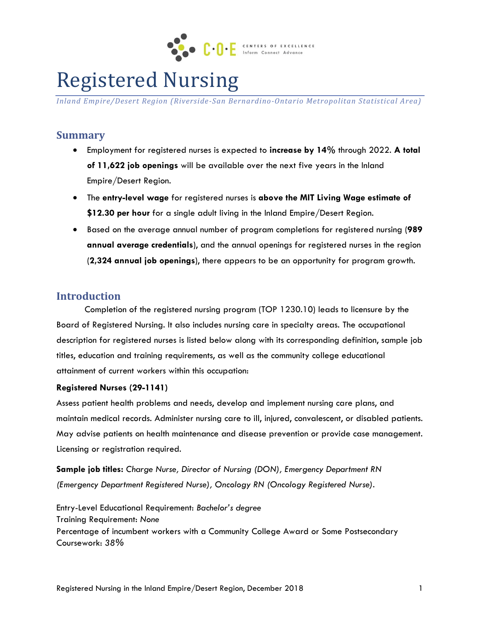

# Registered Nursing

*Inland Empire/Desert Region (Riverside-San Bernardino-Ontario Metropolitan Statistical Area)*

## **Summary**

- Employment for registered nurses is expected to **increase by 14%** through 2022. **A total of 11,622 job openings** will be available over the next five years in the Inland Empire/Desert Region.
- The **entry-level wage** for registered nurses is **above the MIT Living Wage estimate of \$12.30 per hour** for a single adult living in the Inland Empire/Desert Region.
- Based on the average annual number of program completions for registered nursing (**989 annual average credentials**), and the annual openings for registered nurses in the region (**2,324 annual job openings**), there appears to be an opportunity for program growth.

## **Introduction**

Completion of the registered nursing program (TOP 1230.10) leads to licensure by the Board of Registered Nursing. It also includes nursing care in specialty areas. The occupational description for registered nurses is listed below along with its corresponding definition, sample job titles, education and training requirements, as well as the community college educational attainment of current workers within this occupation:

#### **Registered Nurses (29-1141)**

Assess patient health problems and needs, develop and implement nursing care plans, and maintain medical records. Administer nursing care to ill, injured, convalescent, or disabled patients. May advise patients on health maintenance and disease prevention or provide case management. Licensing or registration required.

**Sample job titles:** *Charge Nurse, Director of Nursing (DON), Emergency Department RN (Emergency Department Registered Nurse), Oncology RN (Oncology Registered Nurse).*

Entry-Level Educational Requirement: *Bachelor's degree*  Training Requirement: *None* Percentage of incumbent workers with a Community College Award or Some Postsecondary Coursework: *38%*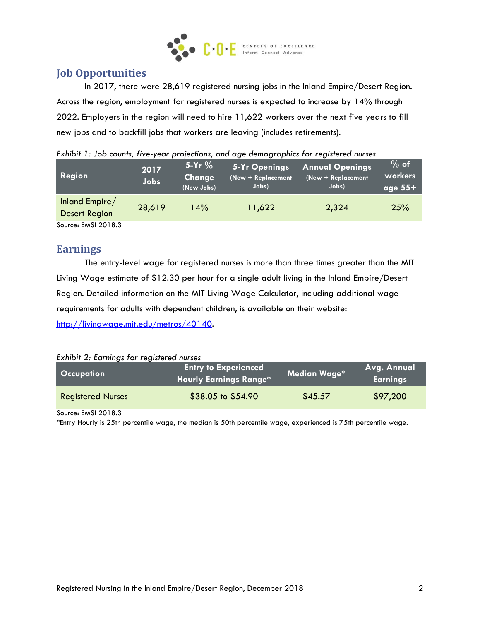

# **Job Opportunities**

In 2017, there were 28,619 registered nursing jobs in the Inland Empire/Desert Region. Across the region, employment for registered nurses is expected to increase by 14% through 2022. Employers in the region will need to hire 11,622 workers over the next five years to fill new jobs and to backfill jobs that workers are leaving (includes retirements).

| <b>Region</b>                          | 2017<br><b>Jobs</b> | $5-Yr$ %<br>Change<br>(New Jobs) | 5-Yr Openings<br>(New + Replacement<br>Jobs) | <b>Annual Openings</b><br>(New + Replacement<br>Jobs) | $%$ of<br>workers<br>age $55+$ |
|----------------------------------------|---------------------|----------------------------------|----------------------------------------------|-------------------------------------------------------|--------------------------------|
| Inland Empire/<br><b>Desert Region</b> | 28,619              | 14%                              | 11,622                                       | 2,324                                                 | 25%                            |
| $SOurce1 FMSL 201R 3$                  |                     |                                  |                                              |                                                       |                                |

|  | Exhibit 1: Job counts, five-year projections, and age demographics for registered nurses |
|--|------------------------------------------------------------------------------------------|
|  |                                                                                          |

Source: EMSI 2018.3

## **Earnings**

The entry-level wage for registered nurses is more than three times greater than the MIT Living Wage estimate of \$12.30 per hour for a single adult living in the Inland Empire/Desert Region. Detailed information on the MIT Living Wage Calculator, including additional wage requirements for adults with dependent children, is available on their website: [http://livingwage.mit.edu/metros/40140.](http://livingwage.mit.edu/metros/40140)

*Exhibit 2: Earnings for registered nurses*

| <b>Occupation</b>        | <b>Entry to Experienced</b><br><b>Hourly Earnings Range*</b> | Median Wage* | Avg. Annual<br>  Earnings <sup> </sup> |
|--------------------------|--------------------------------------------------------------|--------------|----------------------------------------|
| <b>Registered Nurses</b> | $$38.05$ to $$54.90$                                         | \$45.57      | \$97,200                               |

Source: EMSI 2018.3

\*Entry Hourly is 25th percentile wage, the median is 50th percentile wage, experienced is 75th percentile wage.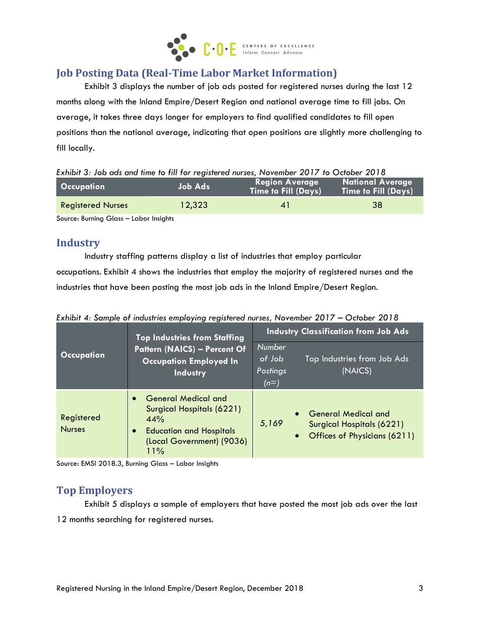

# **Job Posting Data (Real-Time Labor Market Information)**

Exhibit 3 displays the number of job ads posted for registered nurses during the last 12 months along with the Inland Empire/Desert Region and national average time to fill jobs. On average, it takes three days longer for employers to find qualified candidates to fill open positions than the national average, indicating that open positions are slightly more challenging to fill locally.

| Exhibit 3: Job ads and time to fill for registered nurses, November 2017 to October 2018 |  |  |  |
|------------------------------------------------------------------------------------------|--|--|--|
|                                                                                          |  |  |  |

| <b>Occupation</b>        | Job Ads | <b>Region Average</b><br><b>Time to Fill (Days)</b> | <b>National Average</b><br><b>Time to Fill (Days)</b> |
|--------------------------|---------|-----------------------------------------------------|-------------------------------------------------------|
| <b>Registered Nurses</b> | 12,323  | $\mathbf{A}$                                        | -38                                                   |

Source: Burning Glass – Labor Insights

## **Industry**

Industry staffing patterns display a list of industries that employ particular

occupations. Exhibit 4 shows the industries that employ the majority of registered nurses and the industries that have been posting the most job ads in the Inland Empire/Desert Region.

|                             | <b>Top Industries from Staffing</b>                                                                                                  | <b>Industry Classification from Job Ads</b> |                                                                                                                   |  |
|-----------------------------|--------------------------------------------------------------------------------------------------------------------------------------|---------------------------------------------|-------------------------------------------------------------------------------------------------------------------|--|
| Occupation                  | Pattern (NAICS) - Percent Of<br><b>Occupation Employed In</b><br><b>Industry</b>                                                     | Number<br>of Job<br>Postings<br>$(n=)$      | Top Industries from Job Ads<br>(NAICS)                                                                            |  |
| Registered<br><b>Nurses</b> | <b>General Medical and</b><br>Surgical Hospitals (6221)<br>44%<br><b>Education and Hospitals</b><br>(Local Government) (9036)<br>11% | 5,169                                       | <b>General Medical and</b><br>$\bullet$<br>Surgical Hospitals (6221)<br>Offices of Physicians (6211)<br>$\bullet$ |  |

*Exhibit 4: Sample of industries employing registered nurses, November 2017 – October 2018*

Source: EMSI 2018.3, Burning Glass – Labor Insights

# **Top Employers**

Exhibit 5 displays a sample of employers that have posted the most job ads over the last 12 months searching for registered nurses.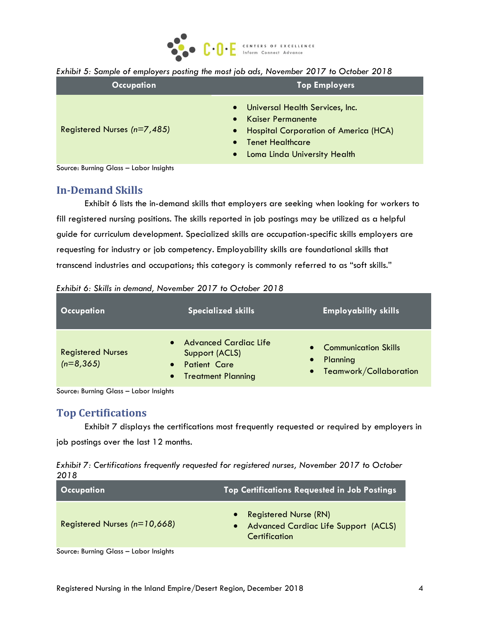

#### *Exhibit 5: Sample of employers posting the most job ads, November 2017 to October 2018*

| <b>Occupation</b>             | <b>Top Employers</b>                                                                                                                                                                                          |  |  |
|-------------------------------|---------------------------------------------------------------------------------------------------------------------------------------------------------------------------------------------------------------|--|--|
| Registered Nurses $(n=7,485)$ | Universal Health Services, Inc.<br>$\bullet$<br><b>Kaiser Permanente</b><br><b>Hospital Corporation of America (HCA)</b><br>$\bullet$<br><b>Tenet Healthcare</b><br>Loma Linda University Health<br>$\bullet$ |  |  |

Source: Burning Glass – Labor Insights

### **In-Demand Skills**

Exhibit 6 lists the in-demand skills that employers are seeking when looking for workers to fill registered nursing positions. The skills reported in job postings may be utilized as a helpful guide for curriculum development. Specialized skills are occupation-specific skills employers are requesting for industry or job competency. Employability skills are foundational skills that transcend industries and occupations; this category is commonly referred to as "soft skills."

| <b>Occupation</b>                        | <b>Specialized skills</b>                                                                                                    | <b>Employability skills</b>                                                 |
|------------------------------------------|------------------------------------------------------------------------------------------------------------------------------|-----------------------------------------------------------------------------|
| <b>Registered Nurses</b><br>$(n=8, 365)$ | <b>Advanced Cardiac Life</b><br>$\bullet$<br>Support (ACLS)<br><b>Patient Care</b><br><b>Treatment Planning</b><br>$\bullet$ | • Communication Skills<br>Planning<br>$\bullet$<br>• Teamwork/Collaboration |

*Exhibit 6: Skills in demand, November 2017 to October 2018*

Source: Burning Glass – Labor Insights

#### **Top Certifications**

Exhibit 7 displays the certifications most frequently requested or required by employers in job postings over the last 12 months.

*Exhibit 7: Certifications frequently requested for registered nurses, November 2017 to October 2018*

| <b>Occupation</b>              | <b>Top Certifications Requested in Job Postings</b>                                          |
|--------------------------------|----------------------------------------------------------------------------------------------|
| Registered Nurses $(n=10,668)$ | <b>Registered Nurse (RN)</b><br><b>Advanced Cardiac Life Support (ACLS)</b><br>Certification |
|                                |                                                                                              |

Source: Burning Glass – Labor Insights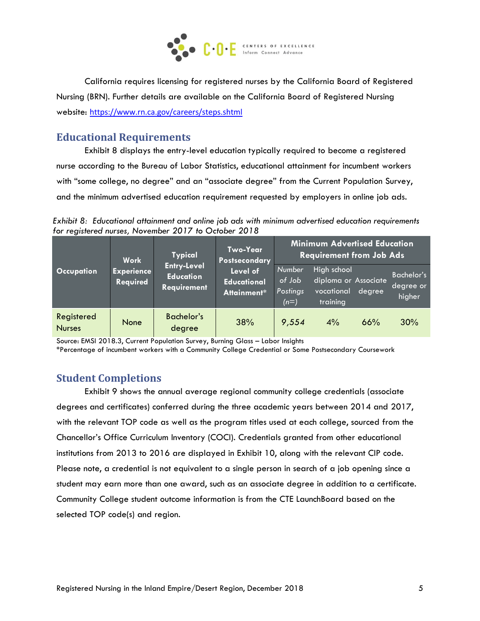

California requires licensing for registered nurses by the California Board of Registered Nursing (BRN). Further details are available on the California Board of Registered Nursing website: <https://www.rn.ca.gov/careers/steps.shtml>

# **Educational Requirements**

Exhibit 8 displays the entry-level education typically required to become a registered nurse according to the Bureau of Labor Statistics, educational attainment for incumbent workers with "some college, no degree" and an "associate degree" from the Current Population Survey, and the minimum advertised education requirement requested by employers in online job ads.

*Exhibit 8: Educational attainment and online job ads with minimum advertised education requirements for registered nurses, November 2017 to October 2018*

|                             | <b>Work</b>                                                                                                                                    | <b>Typical</b>                                 | Two-Year<br>Postsecondary                                     | <b>Minimum Advertised Education</b><br><b>Requirement from Job Ads</b> |                                   |     |     |
|-----------------------------|------------------------------------------------------------------------------------------------------------------------------------------------|------------------------------------------------|---------------------------------------------------------------|------------------------------------------------------------------------|-----------------------------------|-----|-----|
| <b>Occupation</b>           | <b>Entry-Level</b><br>Level of<br><b>Experience</b><br><b>Education</b><br>Required<br><b>Educational</b><br><b>Requirement</b><br>Attainment* | Number,<br>of Job<br><b>Postings</b><br>$(n=)$ | High school<br>diploma or Associate<br>vocational<br>training | degree                                                                 | Bachelor's<br>degree or<br>higher |     |     |
| Registered<br><b>Nurses</b> | None                                                                                                                                           | <b>Bachelor's</b><br>degree                    | 38%                                                           | 9,554                                                                  | 4%                                | 66% | 30% |

Source: EMSI 2018.3, Current Population Survey, Burning Glass – Labor Insights

\*Percentage of incumbent workers with a Community College Credential or Some Postsecondary Coursework

## **Student Completions**

Exhibit 9 shows the annual average regional community college credentials (associate degrees and certificates) conferred during the three academic years between 2014 and 2017, with the relevant TOP code as well as the program titles used at each college, sourced from the Chancellor's Office Curriculum Inventory (COCI). Credentials granted from other educational institutions from 2013 to 2016 are displayed in Exhibit 10, along with the relevant CIP code. Please note, a credential is not equivalent to a single person in search of a job opening since a student may earn more than one award, such as an associate degree in addition to a certificate. Community College student outcome information is from the CTE LaunchBoard based on the selected TOP code(s) and region.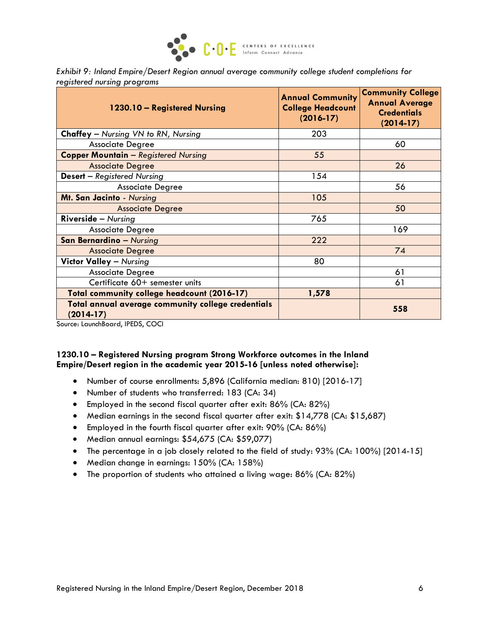

*Exhibit 9: Inland Empire/Desert Region annual average community college student completions for registered nursing programs*

| 1230.10 - Registered Nursing                                      | <b>Annual Community</b><br><b>College Headcount</b><br>$(2016-17)$ | <b>Community College</b><br><b>Annual Average</b><br><b>Credentials</b><br>$(2014-17)$ |
|-------------------------------------------------------------------|--------------------------------------------------------------------|----------------------------------------------------------------------------------------|
| <b>Chaffey</b> – Nursing VN to RN, Nursing                        | 203                                                                |                                                                                        |
| <b>Associate Degree</b>                                           |                                                                    | 60                                                                                     |
| <b>Copper Mountain - Registered Nursing</b>                       | 55                                                                 |                                                                                        |
| <b>Associate Degree</b>                                           |                                                                    | 26                                                                                     |
| <b>Desert</b> - Registered Nursing                                | 154                                                                |                                                                                        |
| <b>Associate Degree</b>                                           |                                                                    | 56                                                                                     |
| Mt. San Jacinto - Nursing                                         | 105                                                                |                                                                                        |
| <b>Associate Degree</b>                                           |                                                                    | 50                                                                                     |
| <b>Riverside</b> $-$ Nursing                                      | 765                                                                |                                                                                        |
| <b>Associate Degree</b>                                           |                                                                    | 169                                                                                    |
| <b>San Bernardino - Nursing</b>                                   | 222                                                                |                                                                                        |
| <b>Associate Degree</b>                                           |                                                                    | 74                                                                                     |
| <b>Victor Valley - Nursing</b>                                    | 80                                                                 |                                                                                        |
| <b>Associate Degree</b>                                           |                                                                    | 61                                                                                     |
| Certificate 60+ semester units                                    |                                                                    | 61                                                                                     |
| Total community college headcount (2016-17)                       | 1,578                                                              |                                                                                        |
| Total annual average community college credentials<br>$(2014-17)$ |                                                                    | 558                                                                                    |

Source: LaunchBoard, IPEDS, COCI

#### **1230.10 – Registered Nursing program Strong Workforce outcomes in the Inland Empire/Desert region in the academic year 2015-16 [unless noted otherwise]:**

- Number of course enrollments: 5,896 (California median: 810) [2016-17]
- Number of students who transferred: 183 (CA: 34)
- Employed in the second fiscal quarter after exit: 86% (CA: 82%)
- Median earnings in the second fiscal quarter after exit: \$14,778 (CA: \$15,687)
- Employed in the fourth fiscal quarter after exit: 90% (CA: 86%)
- Median annual earnings: \$54,675 (CA: \$59,077)
- The percentage in a job closely related to the field of study: 93% (CA: 100%) [2014-15]
- Median change in earnings: 150% (CA: 158%)
- The proportion of students who attained a living wage: 86% (CA: 82%)